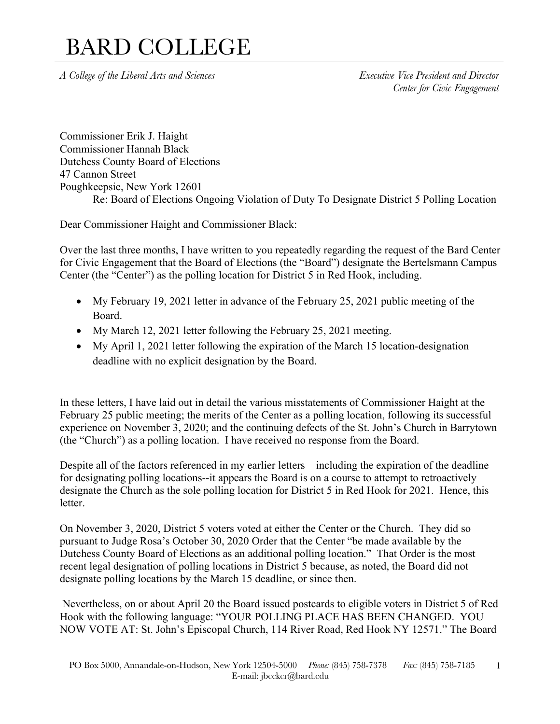*A College of the Liberal Arts and Sciences Executive Vice President and Director*

*Center for Civic Engagement*

Commissioner Erik J. Haight Commissioner Hannah Black Dutchess County Board of Elections 47 Cannon Street Poughkeepsie, New York 12601 Re: Board of Elections Ongoing Violation of Duty To Designate District 5 Polling Location

Dear Commissioner Haight and Commissioner Black:

Over the last three months, I have written to you repeatedly regarding the request of the Bard Center for Civic Engagement that the Board of Elections (the "Board") designate the Bertelsmann Campus Center (the "Center") as the polling location for District 5 in Red Hook, including.

- My February 19, 2021 letter in advance of the February 25, 2021 public meeting of the Board.
- My March 12, 2021 letter following the February 25, 2021 meeting.
- My April 1, 2021 letter following the expiration of the March 15 location-designation deadline with no explicit designation by the Board.

In these letters, I have laid out in detail the various misstatements of Commissioner Haight at the February 25 public meeting; the merits of the Center as a polling location, following its successful experience on November 3, 2020; and the continuing defects of the St. John's Church in Barrytown (the "Church") as a polling location. I have received no response from the Board.

Despite all of the factors referenced in my earlier letters—including the expiration of the deadline for designating polling locations--it appears the Board is on a course to attempt to retroactively designate the Church as the sole polling location for District 5 in Red Hook for 2021. Hence, this letter.

On November 3, 2020, District 5 voters voted at either the Center or the Church. They did so pursuant to Judge Rosa's October 30, 2020 Order that the Center "be made available by the Dutchess County Board of Elections as an additional polling location." That Order is the most recent legal designation of polling locations in District 5 because, as noted, the Board did not designate polling locations by the March 15 deadline, or since then.

Nevertheless, on or about April 20 the Board issued postcards to eligible voters in District 5 of Red Hook with the following language: "YOUR POLLING PLACE HAS BEEN CHANGED. YOU NOW VOTE AT: St. John's Episcopal Church, 114 River Road, Red Hook NY 12571." The Board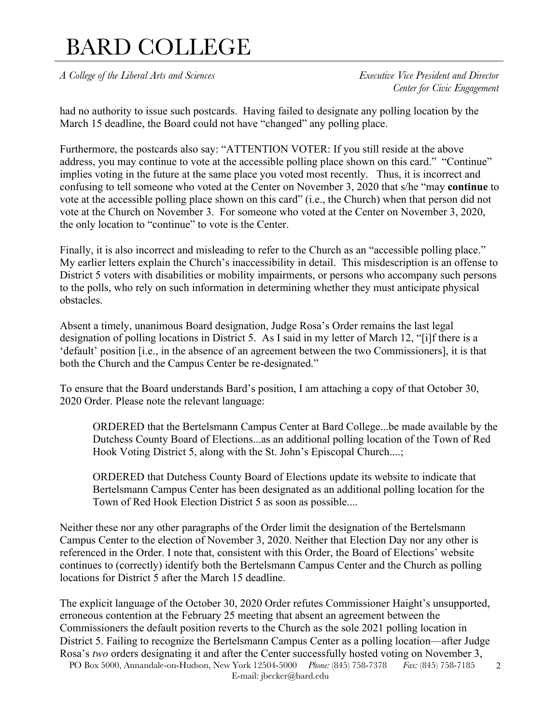*A College of the Liberal Arts and Sciences Executive Vice President and Director*

*Center for Civic Engagement*

had no authority to issue such postcards. Having failed to designate any polling location by the March 15 deadline, the Board could not have "changed" any polling place.

Furthermore, the postcards also say: "ATTENTION VOTER: If you still reside at the above address, you may continue to vote at the accessible polling place shown on this card." "Continue" implies voting in the future at the same place you voted most recently. Thus, it is incorrect and confusing to tell someone who voted at the Center on November 3, 2020 that s/he "may **continue** to vote at the accessible polling place shown on this card" (i.e., the Church) when that person did not vote at the Church on November 3. For someone who voted at the Center on November 3, 2020, the only location to "continue" to vote is the Center.

Finally, it is also incorrect and misleading to refer to the Church as an "accessible polling place." My earlier letters explain the Church's inaccessibility in detail. This misdescription is an offense to District 5 voters with disabilities or mobility impairments, or persons who accompany such persons to the polls, who rely on such information in determining whether they must anticipate physical obstacles.

Absent a timely, unanimous Board designation, Judge Rosa's Order remains the last legal designation of polling locations in District 5. As I said in my letter of March 12, "[i]f there is a 'default' position [i.e., in the absence of an agreement between the two Commissioners], it is that both the Church and the Campus Center be re-designated."

To ensure that the Board understands Bard's position, I am attaching a copy of that October 30, 2020 Order. Please note the relevant language:

ORDERED that the Bertelsmann Campus Center at Bard College...be made available by the Dutchess County Board of Elections...as an additional polling location of the Town of Red Hook Voting District 5, along with the St. John's Episcopal Church....;

ORDERED that Dutchess County Board of Elections update its website to indicate that Bertelsmann Campus Center has been designated as an additional polling location for the Town of Red Hook Election District 5 as soon as possible....

Neither these nor any other paragraphs of the Order limit the designation of the Bertelsmann Campus Center to the election of November 3, 2020. Neither that Election Day nor any other is referenced in the Order. I note that, consistent with this Order, the Board of Elections' website continues to (correctly) identify both the Bertelsmann Campus Center and the Church as polling locations for District 5 after the March 15 deadline.

The explicit language of the October 30, 2020 Order refutes Commissioner Haight's unsupported, erroneous contention at the February 25 meeting that absent an agreement between the Commissioners the default position reverts to the Church as the sole 2021 polling location in District 5. Failing to recognize the Bertelsmann Campus Center as a polling location—after Judge Rosa's *two* orders designating it and after the Center successfully hosted voting on November 3,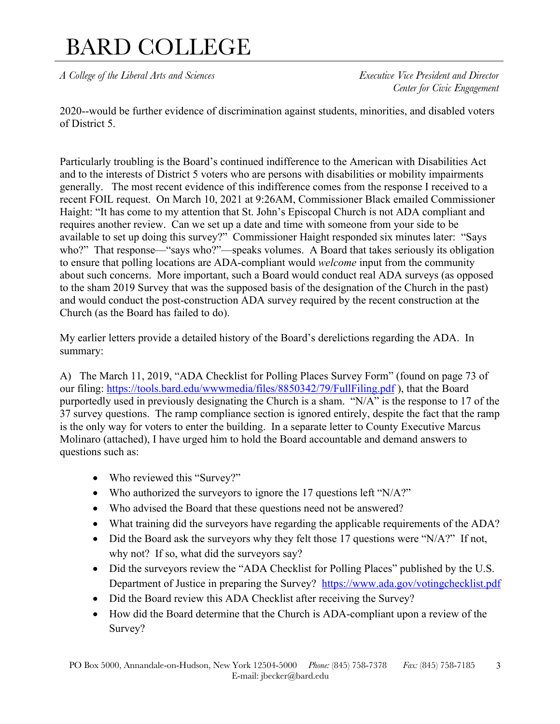*A College of the Liberal Arts and Sciences Executive Vice President and Director*

*Center for Civic Engagement*

2020--would be further evidence of discrimination against students, minorities, and disabled voters of District 5.

Particularly troubling is the Board's continued indifference to the American with Disabilities Act and to the interests of District 5 voters who are persons with disabilities or mobility impairments generally. The most recent evidence of this indifference comes from the response I received to a recent FOIL request. On March 10, 2021 at 9:26AM, Commissioner Black emailed Commissioner Haight: "It has come to my attention that St. John's Episcopal Church is not ADA compliant and requires another review. Can we set up a date and time with someone from your side to be available to set up doing this survey?" Commissioner Haight responded six minutes later: "Says who?" That response—"says who?"—speaks volumes. A Board that takes seriously its obligation to ensure that polling locations are ADA-compliant would *welcome* input from the community about such concerns. More important, such a Board would conduct real ADA surveys (as opposed to the sham 2019 Survey that was the supposed basis of the designation of the Church in the past) and would conduct the post-construction ADA survey required by the recent construction at the Church (as the Board has failed to do).

My earlier letters provide a detailed history of the Board's derelictions regarding the ADA. In summary:

A) The March 11, 2019, "ADA Checklist for Polling Places Survey Form" (found on page 73 of our filing: https://tools.bard.edu/wwwmedia/files/8850342/79/FullFiling.pdf), that the Board purportedly used in previously designating the Church is a sham. "N/A" is the response to 17 of the 37 survey questions. The ramp compliance section is ignored entirely, despite the fact that the ramp is the only way for voters to enter the building. In a separate letter to County Executive Marcus Molinaro (attached), I have urged him to hold the Board accountable and demand answers to questions such as:

- Who reviewed this "Survey?"
- Who authorized the surveyors to ignore the 17 questions left "N/A?"
- Who advised the Board that these questions need not be answered?
- What training did the surveyors have regarding the applicable requirements of the ADA?
- Did the Board ask the surveyors why they felt those 17 questions were "N/A?" If not, why not? If so, what did the surveyors say?
- Did the surveyors review the "ADA Checklist for Polling Places" published by the U.S. Department of Justice in preparing the Survey? https://www.ada.gov/votingchecklist.pdf
- Did the Board review this ADA Checklist after receiving the Survey?
- How did the Board determine that the Church is ADA-compliant upon a review of the Survey?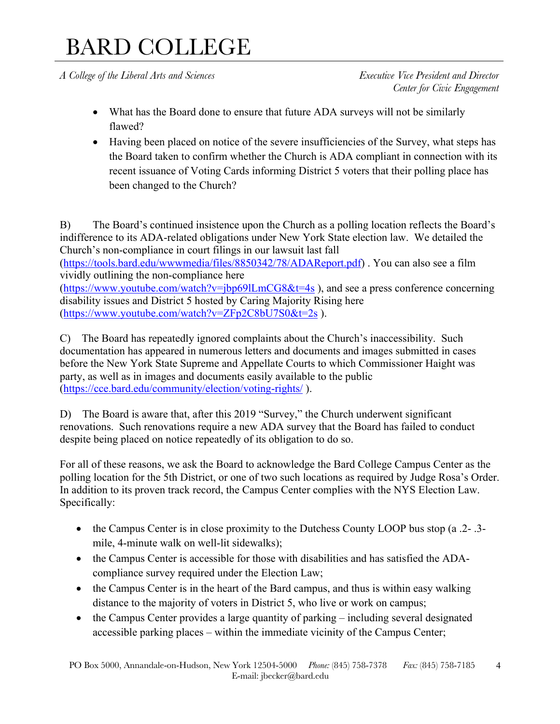*A College of the Liberal Arts and Sciences Executive Vice President and Director*

*Center for Civic Engagement*

- What has the Board done to ensure that future ADA surveys will not be similarly flawed?
- Having been placed on notice of the severe insufficiencies of the Survey, what steps has the Board taken to confirm whether the Church is ADA compliant in connection with its recent issuance of Voting Cards informing District 5 voters that their polling place has been changed to the Church?

B) The Board's continued insistence upon the Church as a polling location reflects the Board's indifference to its ADA-related obligations under New York State election law. We detailed the Church's non-compliance in court filings in our lawsuit last fall

(https://tools.bard.edu/wwwmedia/files/8850342/78/ADAReport.pdf) . You can also see a film vividly outlining the non-compliance here

(https://www.youtube.com/watch?v=jbp69lLmCG8&t=4s ), and see a press conference concerning disability issues and District 5 hosted by Caring Majority Rising here (https://www.youtube.com/watch?v=ZFp2C8bU7S0&t=2s ).

C) The Board has repeatedly ignored complaints about the Church's inaccessibility. Such documentation has appeared in numerous letters and documents and images submitted in cases before the New York State Supreme and Appellate Courts to which Commissioner Haight was party, as well as in images and documents easily available to the public (https://cce.bard.edu/community/election/voting-rights/ ).

D) The Board is aware that, after this 2019 "Survey," the Church underwent significant renovations. Such renovations require a new ADA survey that the Board has failed to conduct despite being placed on notice repeatedly of its obligation to do so.

For all of these reasons, we ask the Board to acknowledge the Bard College Campus Center as the polling location for the 5th District, or one of two such locations as required by Judge Rosa's Order. In addition to its proven track record, the Campus Center complies with the NYS Election Law. Specifically:

- the Campus Center is in close proximity to the Dutchess County LOOP bus stop (a .2- .3mile, 4-minute walk on well-lit sidewalks);
- the Campus Center is accessible for those with disabilities and has satisfied the ADAcompliance survey required under the Election Law;
- the Campus Center is in the heart of the Bard campus, and thus is within easy walking distance to the majority of voters in District 5, who live or work on campus;
- the Campus Center provides a large quantity of parking including several designated accessible parking places – within the immediate vicinity of the Campus Center;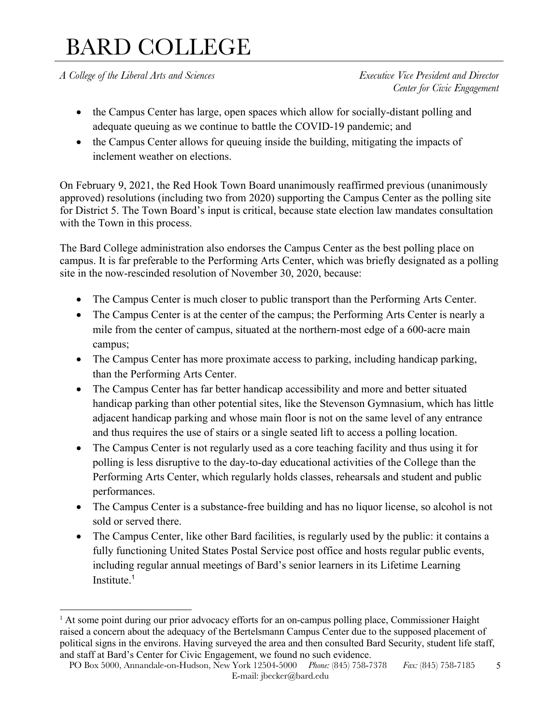*A College of the Liberal Arts and Sciences Executive Vice President and Director*

*Center for Civic Engagement*

- the Campus Center has large, open spaces which allow for socially-distant polling and adequate queuing as we continue to battle the COVID-19 pandemic; and
- the Campus Center allows for queuing inside the building, mitigating the impacts of inclement weather on elections.

On February 9, 2021, the Red Hook Town Board unanimously reaffirmed previous (unanimously approved) resolutions (including two from 2020) supporting the Campus Center as the polling site for District 5. The Town Board's input is critical, because state election law mandates consultation with the Town in this process.

The Bard College administration also endorses the Campus Center as the best polling place on campus. It is far preferable to the Performing Arts Center, which was briefly designated as a polling site in the now-rescinded resolution of November 30, 2020, because:

- The Campus Center is much closer to public transport than the Performing Arts Center.
- The Campus Center is at the center of the campus; the Performing Arts Center is nearly a mile from the center of campus, situated at the northern-most edge of a 600-acre main campus;
- The Campus Center has more proximate access to parking, including handicap parking, than the Performing Arts Center.
- The Campus Center has far better handicap accessibility and more and better situated handicap parking than other potential sites, like the Stevenson Gymnasium, which has little adjacent handicap parking and whose main floor is not on the same level of any entrance and thus requires the use of stairs or a single seated lift to access a polling location.
- The Campus Center is not regularly used as a core teaching facility and thus using it for polling is less disruptive to the day-to-day educational activities of the College than the Performing Arts Center, which regularly holds classes, rehearsals and student and public performances.
- The Campus Center is a substance-free building and has no liquor license, so alcohol is not sold or served there.
- The Campus Center, like other Bard facilities, is regularly used by the public: it contains a fully functioning United States Postal Service post office and hosts regular public events, including regular annual meetings of Bard's senior learners in its Lifetime Learning Institute.<sup>1</sup>

 $<sup>1</sup>$  At some point during our prior advocacy efforts for an on-campus polling place, Commissioner Haight</sup> raised a concern about the adequacy of the Bertelsmann Campus Center due to the supposed placement of political signs in the environs. Having surveyed the area and then consulted Bard Security, student life staff, and staff at Bard's Center for Civic Engagement, we found no such evidence.

PO Box 5000, Annandale-on-Hudson, New York 12504-5000 *Phone:* (845) 758-7378 *Fax:* (845) 758-7185 E-mail: jbecker@bard.edu 5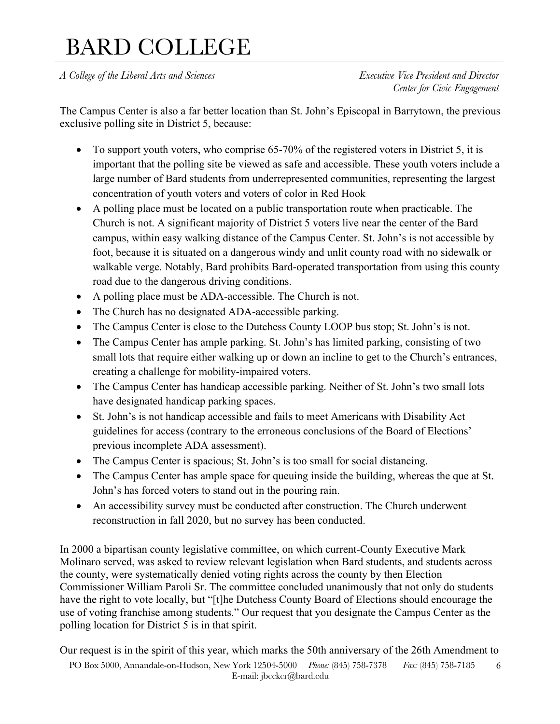*A College of the Liberal Arts and Sciences Executive Vice President and Director*

*Center for Civic Engagement*

The Campus Center is also a far better location than St. John's Episcopal in Barrytown, the previous exclusive polling site in District 5, because:

- To support youth voters, who comprise 65-70% of the registered voters in District 5, it is important that the polling site be viewed as safe and accessible. These youth voters include a large number of Bard students from underrepresented communities, representing the largest concentration of youth voters and voters of color in Red Hook
- A polling place must be located on a public transportation route when practicable. The Church is not. A significant majority of District 5 voters live near the center of the Bard campus, within easy walking distance of the Campus Center. St. John's is not accessible by foot, because it is situated on a dangerous windy and unlit county road with no sidewalk or walkable verge. Notably, Bard prohibits Bard-operated transportation from using this county road due to the dangerous driving conditions.
- A polling place must be ADA-accessible. The Church is not.
- The Church has no designated ADA-accessible parking.
- The Campus Center is close to the Dutchess County LOOP bus stop; St. John's is not.
- The Campus Center has ample parking. St. John's has limited parking, consisting of two small lots that require either walking up or down an incline to get to the Church's entrances, creating a challenge for mobility-impaired voters.
- The Campus Center has handicap accessible parking. Neither of St. John's two small lots have designated handicap parking spaces.
- St. John's is not handicap accessible and fails to meet Americans with Disability Act guidelines for access (contrary to the erroneous conclusions of the Board of Elections' previous incomplete ADA assessment).
- The Campus Center is spacious; St. John's is too small for social distancing.
- The Campus Center has ample space for queuing inside the building, whereas the que at St. John's has forced voters to stand out in the pouring rain.
- An accessibility survey must be conducted after construction. The Church underwent reconstruction in fall 2020, but no survey has been conducted.

In 2000 a bipartisan county legislative committee, on which current-County Executive Mark Molinaro served, was asked to review relevant legislation when Bard students, and students across the county, were systematically denied voting rights across the county by then Election Commissioner William Paroli Sr. The committee concluded unanimously that not only do students have the right to vote locally, but "[t]he Dutchess County Board of Elections should encourage the use of voting franchise among students." Our request that you designate the Campus Center as the polling location for District 5 is in that spirit.

Our request is in the spirit of this year, which marks the 50th anniversary of the 26th Amendment to